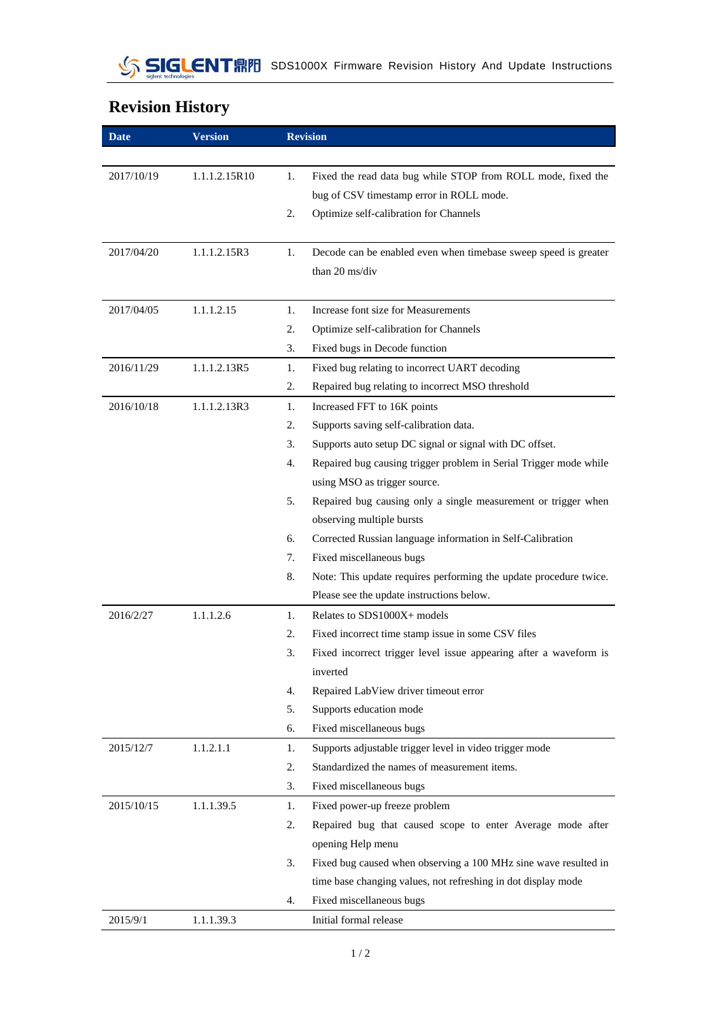## **Revision History**

| <b>Date</b> | <b>Version</b> | <b>Revision</b>                                                         |
|-------------|----------------|-------------------------------------------------------------------------|
|             |                |                                                                         |
| 2017/10/19  | 1.1.1.2.15R10  | Fixed the read data bug while STOP from ROLL mode, fixed the<br>1.      |
|             |                | bug of CSV timestamp error in ROLL mode.                                |
|             |                | Optimize self-calibration for Channels<br>2.                            |
|             |                |                                                                         |
| 2017/04/20  | 1.1.1.2.15R3   | Decode can be enabled even when timebase sweep speed is greater<br>1.   |
|             |                | than 20 ms/div                                                          |
|             |                |                                                                         |
| 2017/04/05  | 1.1.1.2.15     | Increase font size for Measurements<br>1.                               |
|             |                | 2.<br>Optimize self-calibration for Channels                            |
|             |                | 3.<br>Fixed bugs in Decode function                                     |
| 2016/11/29  | 1.1.1.2.13R5   | Fixed bug relating to incorrect UART decoding<br>1.                     |
|             |                | 2.<br>Repaired bug relating to incorrect MSO threshold                  |
| 2016/10/18  | 1.1.1.2.13R3   | 1.<br>Increased FFT to 16K points                                       |
|             |                | Supports saving self-calibration data.<br>2.                            |
|             |                | 3.<br>Supports auto setup DC signal or signal with DC offset.           |
|             |                | Repaired bug causing trigger problem in Serial Trigger mode while<br>4. |
|             |                | using MSO as trigger source.                                            |
|             |                | 5.<br>Repaired bug causing only a single measurement or trigger when    |
|             |                | observing multiple bursts                                               |
|             |                | 6.<br>Corrected Russian language information in Self-Calibration        |
|             |                | Fixed miscellaneous bugs<br>7.                                          |
|             |                | Note: This update requires performing the update procedure twice.<br>8. |
|             |                | Please see the update instructions below.                               |
| 2016/2/27   | 1.1.1.2.6      | Relates to SDS1000X+ models<br>1.                                       |
|             |                | Fixed incorrect time stamp issue in some CSV files<br>2.                |
|             |                | 3.<br>Fixed incorrect trigger level issue appearing after a waveform is |
|             |                | inverted                                                                |
|             |                | Repaired LabView driver timeout error<br>4.                             |
|             |                | 5.<br>Supports education mode                                           |
|             |                | 6.<br>Fixed miscellaneous bugs                                          |
| 2015/12/7   | 1.1.2.1.1      | Supports adjustable trigger level in video trigger mode<br>1.           |
|             |                | Standardized the names of measurement items.<br>2.                      |
|             |                | 3.<br>Fixed miscellaneous bugs                                          |
| 2015/10/15  | 1.1.1.39.5     | 1.<br>Fixed power-up freeze problem                                     |
|             |                | Repaired bug that caused scope to enter Average mode after<br>2.        |
|             |                | opening Help menu                                                       |
|             |                | 3.<br>Fixed bug caused when observing a 100 MHz sine wave resulted in   |
|             |                | time base changing values, not refreshing in dot display mode           |
|             |                | Fixed miscellaneous bugs<br>4.                                          |
| 2015/9/1    | 1.1.1.39.3     | Initial formal release                                                  |